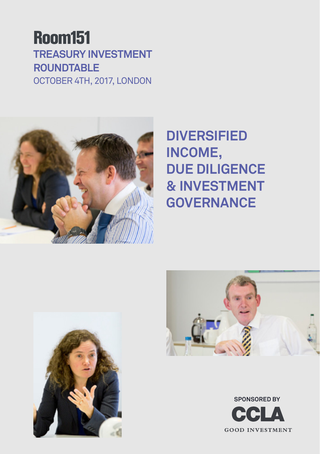### **Room151 Treasury Investment Roundtable** October 4th, 2017, London



### **Diversified income, due diligence & investment governance**





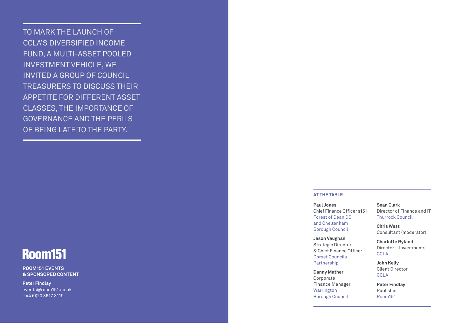To mark the launch of CCLA's Diversified Income Fund, a multi-asset pooled investment vehicle, we invited a group of council treasurers to discuss their appetite for different asset classes, the importance of governance and the perils of being late to the party.

## **Room151**

**Room151 Events & Sponsored Content**

**Peter Findlay** events@room151.co.uk +44 (0)20 8617 3119

#### **At the table**

**Paul Jones** Chief Finance Officer s151 Forest of Dean DC and Cheltenham Borough Council

**Jason Vaughan**  Strategic Director & Chief Finance Officer Dorset Councils Partnership

**Danny Mather**  Corporate Finance Manager Warrington Borough Council

**Sean Clark** Director of Finance and IT Thurrock Council

**Chris West** Consultant (moderator)

**Charlotte Ryland**  Director – Investments CCLA

**John Kelly** Client Director **CCLA** 

**Peter Findlay** Publisher Room151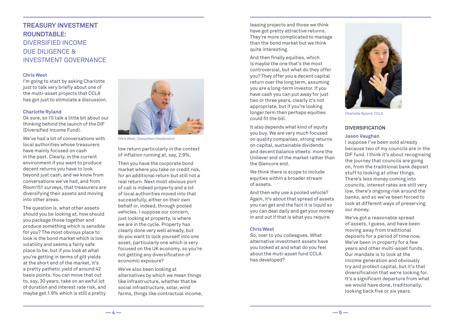### **Treasury Investment Roundtable:** Diversified income due diligence & investment governance

#### **Chris West**

I'm going to start by asking Charlotte just to talk very briefly about one of the multi-asset projects that CCLA has got just to stimulate a discussion.

#### **Charlotte Ryland**

Ok sure, so I'll talk a little bit about our thinking behind the launch of the DIF (Diversified Income Fund).

We've had a lot of conversations with local authorities whose treasurers have mainly focused on cash in the past. Clearly, in the current environment if you want to produce decent returns you have to look beyond just cash, and we know from conversations we've had, and from Room151 surveys, that treasurers are diversifying their assets and moving into other areas.

The question is, what other assets should you be looking at, how should you package those together and produce something which is sensible for you? The most obvious place to look is the bond market which is low volatility and seems a fairly safe place to be, but if you look at what you're getting in terms of gilt yields at the short end of the market, it's a pretty pathetic yield of around 42 basis points. You can move that out to, say, 30 years, take on an awful lot of duration and interest rate risk, and maybe get 1.9% which is still a pretty



*Chris West, Consultant (moderator)*

low return particularly in the context of inflation running at, say, 2.9%.

Then you have the corporate bond market where you take on credit risk, for an additional return but still not a real return. Next most obvious port of call is indeed property and a lot of local authorities moved into that successfully, either on their own behalf or, indeed, through pooled vehicles. I suppose our concern, just looking at property, is where we are in the cycle. Property has clearly done very well already, but do you want to lock yourself into one asset, particularly one which is very focused on the UK economy, so you're not getting any diversification of economic exposure?

We've also been looking at alternatives by which we mean things like infrastructure, whether that be social infrastructure, solar, wind farms, things like contractual income, leasing projects and those we think have got pretty attractive returns. They're more complicated to manage than the bond market but we think quite interesting.

And then finally equities, which is maybe the one that's the most controversial, but what do they offer you? They offer you a decent capital return over the long term, assuming you are a long-term investor. If you have cash you can put away for just two or three years, clearly it's not appropriate, but if you're looking longer term then perhaps equities could fit the bill.

It also depends what kind of equity you buy. We are very much focused on quality companies, strong returns on capital, sustainable dividends and decent balance sheets: more the Unilever end of the market rather than the Glencore end.

We think there is scope to include equities within a broader stream of assets.

And then why use a pooled vehicle? Again, it's about that spread of assets you can get and the fact it is liquid so you can deal daily and get your money in and out if that is what you require.

#### **Chris West**

So, over to you colleagues. What alternative investment assets have you looked at and what do you feel about the muti-asset fund CCLA has developed?



*Charlotte Ryland, CCLA*

#### **Diversification**

#### **Jason Vaughan**

I suppose I've been sold already because two of my councils are in the DIF fund. I think it's about recognising the journey that councils are going on, from the traditional bank deposit stuff to looking at other things. There's less money coming into councils, interest rates are still very low, there's ongoing risk around the banks, and so we've been forced to look at different ways of preserving our money.

We've got a reasonable spread of assets, I guess, and have been moving away from traditional deposits for a period of time now. We've been in property for a few years and other multi-asset funds. Our mandate is to look at the income generation and obviously try and protect capital, but it's that diversification that we're looking for. It's a significant departure from what we would have done, traditionally, looking back five or six years.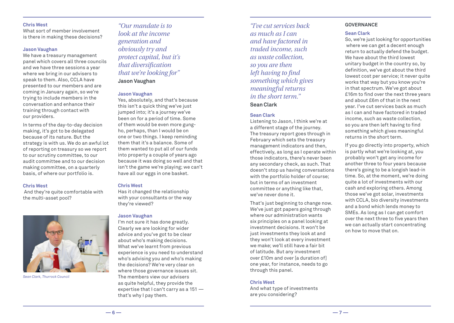#### **Chris West**

What sort of member involvement is there in making these decisions?

#### **Jason Vaughan**

We have a treasury management panel which covers all three councils and we have three sessions a year where we bring in our advisers to speak to them. Also, CCLA have presented to our members and are coming in January again, so we're trying to include members in the conversation and enhance their training through contact with our providers.

In terms of the day-to-day decision making, it's got to be delegated because of its nature. But the strategy is with us. We do an awful lot of reporting on treasury so we report to our scrutiny committee, to our audit committee and to our decision making committee, on a quarterly basis, of where our portfolio is.

#### **Chris West**

 And they're quite comfortable with the multi-asset pool?



*Sean Clark, Thurrock Council*

*"Our mandate is to look at the income generation and obviously try and protect capital, but it's that diversification that we're looking for"* **Jason Vaughan**

#### **Jason Vaughan**

Yes, absolutely, and that's because this isn't a quick thing we've just jumped into; it's a journey we've been on for a period of time. Some of them would be even more gungho, perhaps, than I would be on one or two things. I keep reminding them that it's a balance. Some of them wanted to put all of our funds into property a couple of years ago because it was doing so well and that isn't the game we're playing; we can't have all our eggs in one basket.

#### **Chris West**

Has it changed the relationship with your consultants or the way they're viewed?

#### **Jason Vaughan**

I'm not sure it has done greatly. Clearly we are looking for wider advice and you've got to be clear about who's making decisions. What we've learnt from previous experience is you need to understand who's advising you and who's making the decisions? We're very clear on where those governance issues sit. The members view our advisers as quite helpful, they provide the expertise that I can't carry as a 151 that's why I pay them.

*"I've cut services back as much as I can and have factored in traded income, such as waste collection, so you are then left having to find something which gives meaningful returns in the short term."* **Sean Clark**

#### **Sean Clark**

Listening to Jason, I think we're at a different stage of the journey. The treasury report goes through in February which sets the treasury management indicators and then, effectively, as long as I operate within those indicators, there's never been any secondary check, as such. That doesn't stop us having conversations with the portfolio holder of course; but in terms of an investment committee or anything like that, we've never done it.

That's just beginning to change now. We've just got papers going through where our administration wants six principles on a panel looking at investment decisions. It won't be just investments they look at and they won't look at every investment we make; we'll still have a fair bit of latitude. But any investment over £10m and over [a duration of] one year, for instance, needs to go through this panel.

#### **Chris West**

And what type of investments are you considering?

#### **Governance**

#### **Sean Clark**

So, we're just looking for opportunities where we can get a decent enough return to actually defend the budget. We have about the third lowest unitary budget in the country so, by definition, we've got about the third lowest cost per service; it never quite works that way but you know you're in that spectrum. We've got about £16m to find over the next three years and about £6m of that in the next year. I've cut services back as much as I can and have factored in traded income, such as waste collection, so you are then left having to find something which gives meaningful returns in the short term.

If you go directly into property, which is partly what we're looking at, you probably won't get any income for another three to four years because there's going to be a longish lead-in time. So, at the moment, we're doing quite a lot of investments with our cash and exploring others. Among those we've got solar, investments with CCLA, bio diversity investments and a bond which lends money to SMEs. As long as I can get comfort over the next three to five years then we can actually start concentrating on how to move that on.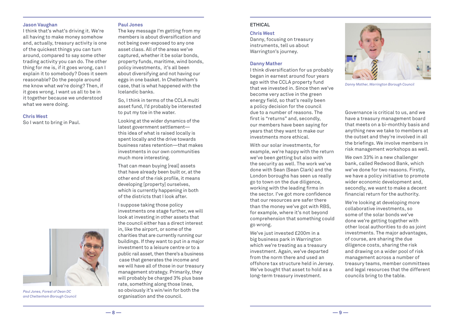#### **Jason Vaughan**

I think that's what's driving it. We're all having to make money somehow and, actually, treasury activity is one of the quickest things you can turn around, compared to say some other trading activity you can do. The other thing for me is, if it goes wrong, can I explain it to somebody? Does it seem reasonable? Do the people around me know what we're doing? Then, if it goes wrong, I want us all to be in it together because we understood what we were doing.

#### **Chris West**

So I want to bring in Paul.



*Paul Jones, Forest of Dean DC and Cheltenham Borough Council*

#### **Paul Jones**

The key message I'm getting from my members is about diversification and not being over-exposed to any one asset class. All of the areas we've captured, whether it be solar bonds, property funds, maritime, wind bonds, policy investments, it's all been about diversifying and not having our eggs in one basket. In Cheltenham's case, that is what happened with the Icelandic banks.

So, I think in terms of the CCLA multi asset fund, I'd probably be interested to put my toe in the water.

Looking at the wider dynamics of the latest government settlement this idea of what is raised locally is spent locally and the drive towards business rates retention—that makes investments in our own communities much more interesting.

That can mean buying [real] assets that have already been built or, at the other end of the risk profile, it means developing [property] ourselves, which is currently happening in both of the districts that I look after.

I suppose taking those policy investments one stage further, we will look at investing in other assets that the council either has a direct interest in, like the airport, or some of the charities that are currently running our buildings. If they want to put in a major investment to a leisure centre or to a public rail asset, then there's a business case that generates the income and we will have all of those in our treasury management strategy. Primarily, they will probably be charged 3% plus base rate, something along those lines, so obviously it's win/win for both the organisation and the council.

#### **Ethical**

#### **Chris West**

Danny, focusing on treasury instruments, tell us about Warrington's journey.

#### **Danny Mather**

I think diversification for us probably began in earnest around four years ago with the CCLA property fund that we invested in. Since then we've become very active in the green energy field, so that's really been a policy decision for the council due to a number of reasons. The first is "returns" and, secondly, our members have been saying for years that they want to make our investments more ethical.

With our solar investments, for example, we're happy with the return we've been getting but also with the security as well. The work we've done with Sean (Sean Clark) and the London boroughs has seen us really go to town on the due diligence, working with the leading firms in the sector. I've got more confidence that our resources are safer there than the money we've got with RBS, for example, where it's not beyond comprehension that something could go wrong.

We've just invested £200m in a big business park in Warrington which we're treating as a treasury investment. Again, we've departed from the norm there and used an offshore tax structure held in Jersey. We've bought that asset to hold as a long-term treasury investment.



*Danny Mather, Warrington Borough Council*

Governance is critical to us, and we have a treasury management board that meets on a bi-monthly basis and anything new we take to members at the outset and they're involved in all the briefings. We involve members in risk management workshops as well.

We own 33% in a new challenger bank, called Redwood Bank, which we've done for two reasons. Firstly, we have a policy initiative to promote wider economic development and, secondly, we want to make a decent financial return for the authority.

We're looking at developing more collaborative investments, so some of the solar bonds we've done we're getting together with other local authorities to do as joint investments. The major advantages, of course, are sharing the due diligence costs, sharing the risk and drawing on a wider pool of risk management across a number of treasury teams, member committees and legal resources that the different councils bring to the table.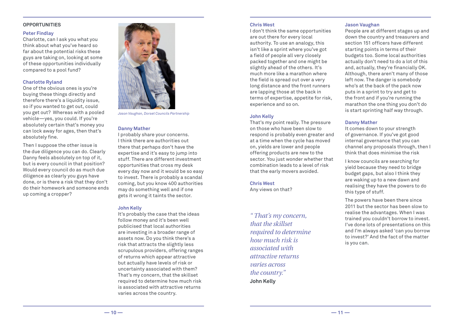#### **Opportunities**

#### **Peter Findlay**

Charlotte, can I ask you what you think about what you've heard so far about the potential risks these guys are taking on, looking at some of these opportunities individually compared to a pool fund?

#### **Charlotte Ryland**

One of the obvious ones is you're buying these things directly and therefore there's a liquidity issue, so if you wanted to get out, could you get out? Whereas with a pooled vehicle—yes, you could. If you're absolutely certain that's money you can lock away for ages, then that's absolutely fine.

Then I suppose the other issue is the due diligence you can do. Clearly Danny feels absolutely on top of it, but is every council in that position? Would every council do as much due diligence as clearly you guys have done, or is there a risk that they don't do their homework and someone ends up coming a cropper?



*Jason Vaughan, Dorset Councils Partnership*

#### **Danny Mather**

I probably share your concerns. I think there are authorities out there that perhaps don't have the expertise and it's easy to jump into stuff. There are different investment opportunities that cross my desk every day now and it would be so easy to invest. There is probably a scandal coming, but you know 400 authorities may do something well and if one gets it wrong it taints the sector.

#### **John Kelly**

It's probably the case that the ideas follow money and it's been well publicised that local authorities are investing in a broader range of assets now. Do you think there's a risk that attracts the slightly less scrupulous providers, offering ranges of returns which appear attractive but actually have levels of risk or uncertainty associated with them? That's my concern, that the skillset required to determine how much risk is associated with attractive returns varies across the country.

#### **Chris West**

I don't think the same opportunities are out there for every local authority. To use an analogy, this isn't like a sprint where you've got a field of people all very closely packed together and one might be slightly ahead of the others. It's much more like a marathon where the field is spread out over a very long distance and the front runners are lapping those at the back in terms of expertise, appetite for risk, experience and so on.

#### **John Kelly**

That's my point really. The pressure on those who have been slow to respond is probably even greater and at a time when the cycle has moved on, yields are lower and people offering products are new to the sector. You just wonder whether that combination leads to a level of risk that the early movers avoided.

#### **Chris West**

Any views on that?

*" That's my concern, that the skillset required to determine how much risk is associated with attractive returns varies across the country."* **John Kelly**

#### **Jason Vaughan**

People are at different stages up and down the country and treasurers and section 151 officers have different starting points in terms of their budgets too. Some local authorities actually don't need to do a lot of this and, actually, they're financially OK. Although, there aren't many of those left now. The danger is somebody who's at the back of the pack now puts in a sprint to try and get to the front and if you're running the marathon the one thing you don't do is start sprinting half way through.

#### **Danny Mather**

It comes down to your strength of governance. If you've got good internal governance that you can channel any proposals through, then I think that does minimise the risk

I know councils are searching for yield because they need to bridge budget gaps, but also I think they are waking up to a new dawn and realising they have the powers to do this type of stuff.

The powers have been there since 2011 but the sector has been slow to realise the advantages. When I was trained you couldn't borrow to invest. I've done lots of presentations on this and I'm always asked 'can you borrow to invest?' And the fact of the matter is you can.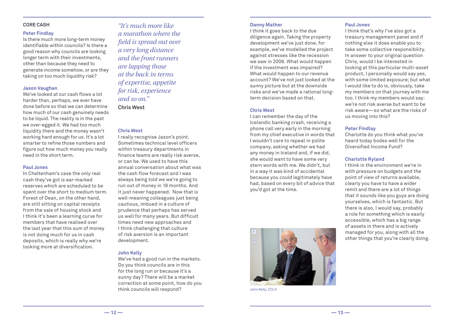#### **Peter Findlay**

Is there much more long-term money identifiable within councils? Is there a good reason why councils are looking longer term with their investments, other than because they need to generate income somehow, or are they taking on too much liquidity risk?

#### **Jason Vaughan**

We've looked at our cash flows a lot harder than, perhaps, we ever have done before so that we can determine how much of our cash genuinely needs to be liquid. The reality is in the past we over-egged it. We had too much liquidity there and the money wasn't working hard enough for us. It's a lot smarter to refine those numbers and figure out how much money you really need in the short term.

#### **Paul Jones**

In Cheltenham's case the only real cash they've got is ear-marked reserves which are scheduled to be spent over the short to medium term. Forest of Dean, on the other hand, are still sitting on capital receipts from the sale of housing stock and I think it's been a learning curve for members that have realised over the last year that this sum of money is not doing much for us in cash deposits, which is really why we're looking more at diversification.

*"It's much more like a marathon where the field is spread out over a very long distance and the front runners are lapping those at the back in terms of expertise, appetite for risk, experience and so on."* **Chris West**

#### **Chris West**

I really recognise Jason's point. Sometimes technical level officers within treasury departments in finance teams are really risk averse, or can be. We used to have this annual conversation about what was the cash flow forecast and I was always being told we we're going to run out of money in 18 months. And it just never happened. Now that is well-meaning colleagues just being cautious, imbued in a culture of prudence that perhaps has served us well for many years. But difficult times need new approaches and I think challenging that culture of risk aversion is an important development.

#### **John Kelly**

We've had a good run in the markets. Do you think councils are in this for the long run or because it's a sunny day? There will be a market correction at some point, how do you think councils will respond?

#### **Danny Mather**

I think it goes back to the due diligence again. Taking the property development we've just done, for example, we've modelled the project against stresses like the recession we saw in 2008. What would happen if the investment was impaired? What would happen to our revenue account? We've not just looked at the sunny picture but at the downside risks and we've made a rational longterm decision based on that.

#### **Chris West**

I can remember the day of the Icelandic banking crash, receiving a phone call very early in the morning from my chief executive in words that I wouldn't care to repeat in polite company, asking whether we had any money in Iceland and, if we did, she would want to have some very stern words with me. We didn't, but in a way it was kind of accidental because you could legitimately have had, based on every bit of advice that you'd got at the time.



*John Kelly, CCLA*

#### **Paul Jones**

I think that's why I've also got a treasury management panel and if nothing else it does enable you to take some collective responsibility. In answer to your original question Chris, would I be interested in looking at this particular multi-asset product, I personally would say yes, with some limited exposure; but what I would like to do is, obviously, take my members on that journey with me too. I think my members would say: we're not risk averse but want to be risk aware—so what are the risks of us moving into this?

#### **Peter Findlay**

Charlotte do you think what you've heard today bodes well for the Diversified Income Fund?

#### **Charlotte Ryland**

I think in the environment we're in with pressure on budgets and the point of view of returns available, clearly you have to have a wider remit and there are a lot of things that it sounds like you guys are doing yourselves, which is fantastic. But there is also, I would say, probably a role for something which is easily accessible, which has a big range of assets in there and is actively managed for you, along with all the other things that you're clearly doing.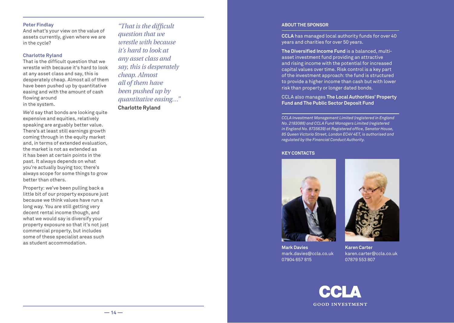#### **Peter Findlay**

And what's your view on the value of assets currently, given where we are in the cycle?

#### **Charlotte Ryland**

That is the difficult question that we wrestle with because it's hard to look at any asset class and say, this is desperately cheap. Almost all of them have been pushed up by quantitative easing and with the amount of cash flowing around in the system.

We'd say that bonds are looking quite expensive and equities, relatively speaking are arguably better value. There's at least still earnings growth coming through in the equity market and, in terms of extended evaluation, the market is not as extended as it has been at certain points in the past. It always depends on what you're actually buying too; there's always scope for some things to grow better than others.

Property: we've been pulling back a little bit of our property exposure just because we think values have run a long way. You are still getting very decent rental income though, and what we would say is diversify your property exposure so that it's not just commercial property, but includes some of these specialist areas such as student accommodation.

*"That is the difficult question that we wrestle with because it's hard to look at any asset class and say, this is desperately cheap. Almost all of them have been pushed up by quantitative easing…"* **Charlotte Ryland**

#### **About the Sponsor**

**CCLA** has managed local authority funds for over 40 years and charities for over 50 years.

**The Diversified Income Fund** is a balanced, multiasset investment fund providing an attractive and rising income with the potential for increased capital values over time. Risk control is a key part of the investment approach: the fund is structured to provide a higher income than cash but with lower risk than property or longer dated bonds.

#### CCLA also manages **The Local Authorities' Property Fund and The Public Sector Deposit Fund**

*CCLA Investment Management Limited (registered in England No. 2183088) and CCLA Fund Managers Limited (registered in England No. 8735639) at Registered office, Senator House, 85 Queen Victoria Street, London EC4V 4ET, is authorised and regulated by the Financial Conduct Authority.*

#### **Key Contacts**





**Mark Davies** mark.davies@ccla.co.uk 07904 657 815

**Karen Carter**  karen.carter@ccla.co.uk 07879 553 807